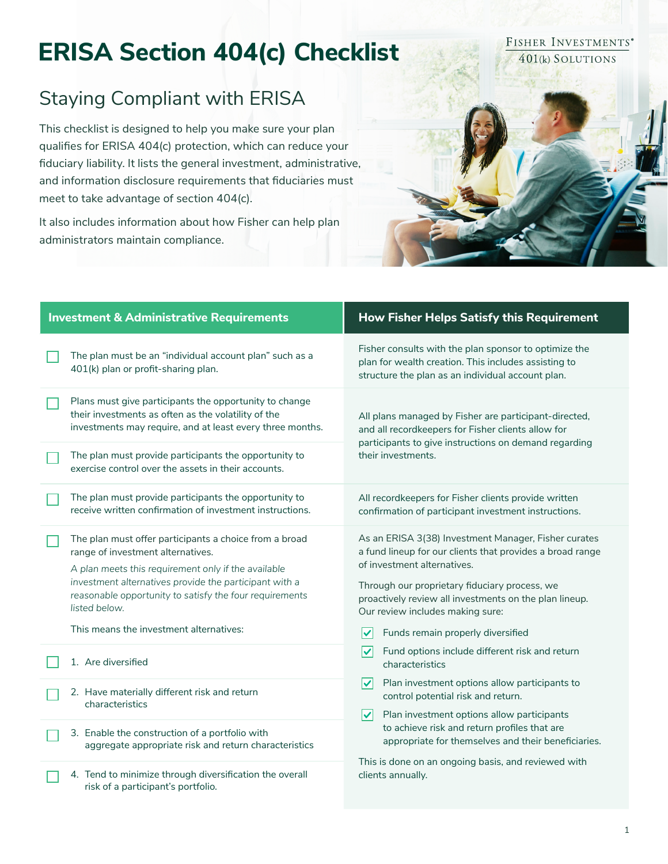# **ERISA Section 404(c) Checklist**

## Staying Compliant with ERISA

This checklist is designed to help you make sure your plan qualifies for ERISA 404(c) protection, which can reduce your fiduciary liability. It lists the general investment, administrative, and information disclosure requirements that fiduciaries must meet to take advantage of section 404(c).

It also includes information about how Fisher can help plan administrators maintain compliance.

| <b>Investment &amp; Administrative Requirements</b> |                                                                                                                                                                                                                                                                                                                                     | <b>How Fisher Helps Satisfy this Requirement</b>                                                                                                                                                                                                                                                                                                                                                                                |
|-----------------------------------------------------|-------------------------------------------------------------------------------------------------------------------------------------------------------------------------------------------------------------------------------------------------------------------------------------------------------------------------------------|---------------------------------------------------------------------------------------------------------------------------------------------------------------------------------------------------------------------------------------------------------------------------------------------------------------------------------------------------------------------------------------------------------------------------------|
|                                                     | The plan must be an "individual account plan" such as a<br>401(k) plan or profit-sharing plan.                                                                                                                                                                                                                                      | Fisher consults with the plan sponsor to optimize the<br>plan for wealth creation. This includes assisting to<br>structure the plan as an individual account plan.                                                                                                                                                                                                                                                              |
|                                                     | Plans must give participants the opportunity to change<br>their investments as often as the volatility of the<br>investments may require, and at least every three months.                                                                                                                                                          | All plans managed by Fisher are participant-directed,<br>and all recordkeepers for Fisher clients allow for<br>participants to give instructions on demand regarding<br>their investments.                                                                                                                                                                                                                                      |
|                                                     | The plan must provide participants the opportunity to<br>exercise control over the assets in their accounts.                                                                                                                                                                                                                        |                                                                                                                                                                                                                                                                                                                                                                                                                                 |
|                                                     | The plan must provide participants the opportunity to<br>receive written confirmation of investment instructions.                                                                                                                                                                                                                   | All recordkeepers for Fisher clients provide written<br>confirmation of participant investment instructions.                                                                                                                                                                                                                                                                                                                    |
|                                                     | The plan must offer participants a choice from a broad<br>range of investment alternatives.<br>A plan meets this requirement only if the available<br>investment alternatives provide the participant with a<br>reasonable opportunity to satisfy the four requirements<br>listed below.<br>This means the investment alternatives: | As an ERISA 3(38) Investment Manager, Fisher curates<br>a fund lineup for our clients that provides a broad range<br>of investment alternatives.<br>Through our proprietary fiduciary process, we<br>proactively review all investments on the plan lineup.<br>Our review includes making sure:<br>Funds remain properly diversified                                                                                            |
|                                                     | 1. Are diversified                                                                                                                                                                                                                                                                                                                  | ∣✓<br>Fund options include different risk and return<br>characteristics<br>∨<br>Plan investment options allow participants to<br>control potential risk and return.<br>Plan investment options allow participants<br>$\overline{\mathsf{v}}$<br>to achieve risk and return profiles that are<br>appropriate for themselves and their beneficiaries.<br>This is done on an ongoing basis, and reviewed with<br>clients annually. |
|                                                     | 2. Have materially different risk and return<br>characteristics                                                                                                                                                                                                                                                                     |                                                                                                                                                                                                                                                                                                                                                                                                                                 |
|                                                     | 3. Enable the construction of a portfolio with<br>aggregate appropriate risk and return characteristics                                                                                                                                                                                                                             |                                                                                                                                                                                                                                                                                                                                                                                                                                 |
|                                                     | 4. Tend to minimize through diversification the overall<br>risk of a participant's portfolio.                                                                                                                                                                                                                                       |                                                                                                                                                                                                                                                                                                                                                                                                                                 |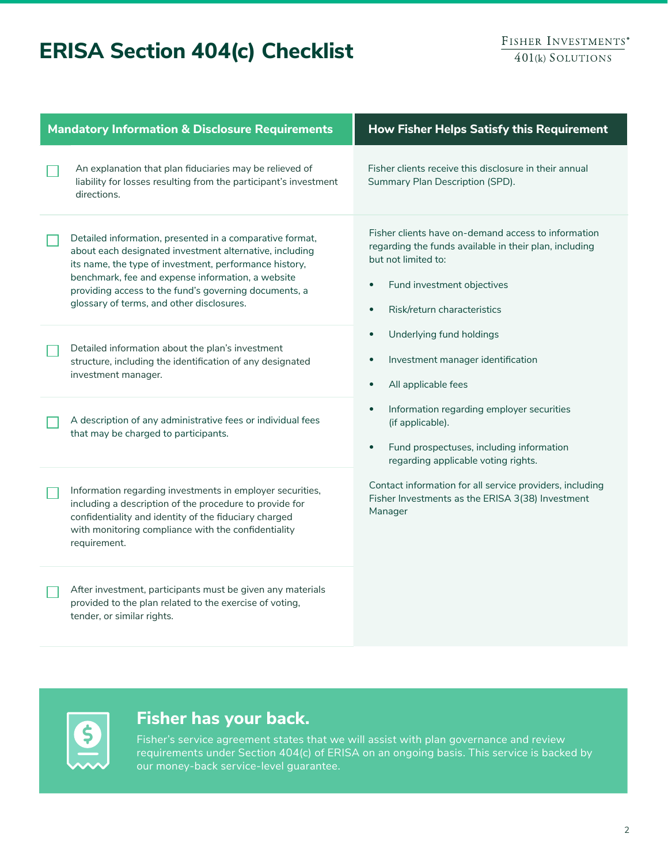# **ERISA Section 404(c) Checklist**

| <b>Mandatory Information &amp; Disclosure Requirements</b> |                                                                                                                                                                                                                                                                                                                                          | How Fisher Helps Satisfy this Requirement                                                                                                                                                                                                                                                                                                                                                                                                                                                                                                                                                                                                                           |
|------------------------------------------------------------|------------------------------------------------------------------------------------------------------------------------------------------------------------------------------------------------------------------------------------------------------------------------------------------------------------------------------------------|---------------------------------------------------------------------------------------------------------------------------------------------------------------------------------------------------------------------------------------------------------------------------------------------------------------------------------------------------------------------------------------------------------------------------------------------------------------------------------------------------------------------------------------------------------------------------------------------------------------------------------------------------------------------|
|                                                            | An explanation that plan fiduciaries may be relieved of<br>liability for losses resulting from the participant's investment<br>directions.                                                                                                                                                                                               | Fisher clients receive this disclosure in their annual<br>Summary Plan Description (SPD).                                                                                                                                                                                                                                                                                                                                                                                                                                                                                                                                                                           |
|                                                            | Detailed information, presented in a comparative format,<br>about each designated investment alternative, including<br>its name, the type of investment, performance history,<br>benchmark, fee and expense information, a website<br>providing access to the fund's governing documents, a<br>glossary of terms, and other disclosures. | Fisher clients have on-demand access to information<br>regarding the funds available in their plan, including<br>but not limited to:<br>Fund investment objectives<br>$\bullet$<br>Risk/return characteristics<br>$\bullet$<br>Underlying fund holdings<br>$\bullet$<br>Investment manager identification<br>$\bullet$<br>All applicable fees<br>$\bullet$<br>Information regarding employer securities<br>$\bullet$<br>(if applicable).<br>Fund prospectuses, including information<br>$\bullet$<br>regarding applicable voting rights.<br>Contact information for all service providers, including<br>Fisher Investments as the ERISA 3(38) Investment<br>Manager |
|                                                            | Detailed information about the plan's investment<br>structure, including the identification of any designated<br>investment manager.                                                                                                                                                                                                     |                                                                                                                                                                                                                                                                                                                                                                                                                                                                                                                                                                                                                                                                     |
|                                                            | A description of any administrative fees or individual fees<br>that may be charged to participants.                                                                                                                                                                                                                                      |                                                                                                                                                                                                                                                                                                                                                                                                                                                                                                                                                                                                                                                                     |
|                                                            | Information regarding investments in employer securities,<br>including a description of the procedure to provide for<br>confidentiality and identity of the fiduciary charged<br>with monitoring compliance with the confidentiality<br>requirement.                                                                                     |                                                                                                                                                                                                                                                                                                                                                                                                                                                                                                                                                                                                                                                                     |
|                                                            | After investment, participants must be given any materials<br>provided to the plan related to the exercise of voting,<br>tender, or similar rights.                                                                                                                                                                                      |                                                                                                                                                                                                                                                                                                                                                                                                                                                                                                                                                                                                                                                                     |
|                                                            |                                                                                                                                                                                                                                                                                                                                          |                                                                                                                                                                                                                                                                                                                                                                                                                                                                                                                                                                                                                                                                     |



### **Fisher has your back.**

Fisher's service agreement states that we will assist with plan governance and review requirements under Section 404(c) of ERISA on an ongoing basis. This service is backed by our money-back service-level guarantee.